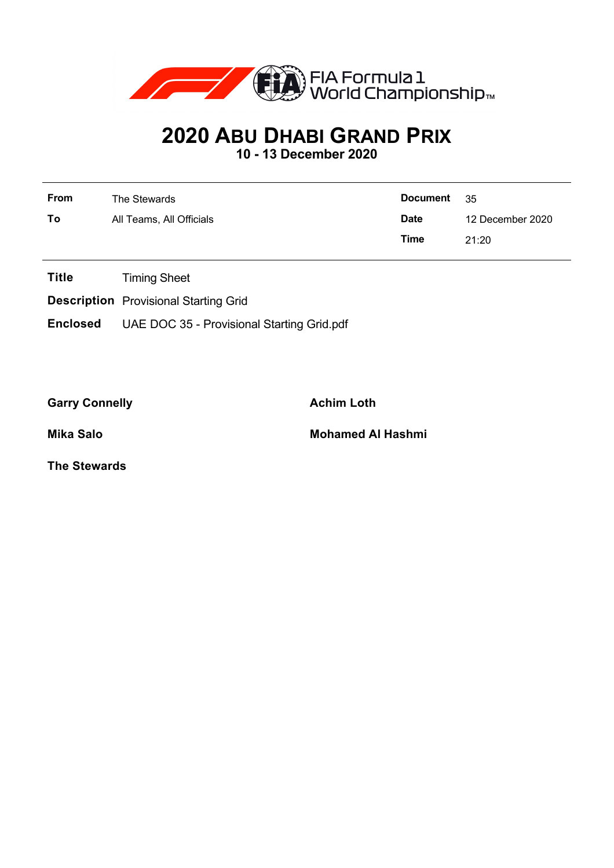

## **2020 ABU DHABI GRAND PRIX**

**10 - 13 December 2020**

| From | The Stewards             | <b>Document</b> | - 35             |  |
|------|--------------------------|-----------------|------------------|--|
| To   | All Teams, All Officials | <b>Date</b>     | 12 December 2020 |  |
|      |                          | Time            | 21:20            |  |

**Title** Timing Sheet

**Description** Provisional Starting Grid

**Enclosed** UAE DOC 35 - Provisional Starting Grid.pdf

Garry Connelly **Achim Loth** 

**Mika Salo Mohamed Al Hashmi**

**The Stewards**